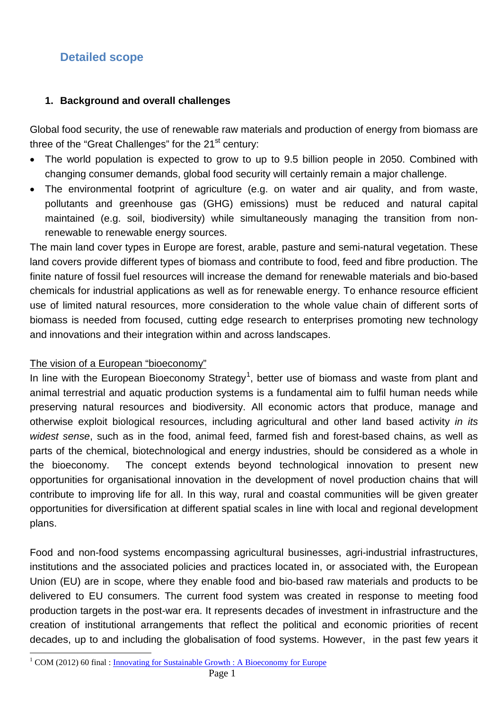# **Detailed scope**

#### **1. Background and overall challenges**

Global food security, the use of renewable raw materials and production of energy from biomass are three of the "Great Challenges" for the  $21<sup>st</sup>$  century:

- The world population is expected to grow to up to 9.5 billion people in 2050. Combined with changing consumer demands, global food security will certainly remain a major challenge.
- The environmental footprint of agriculture (e.g. on water and air quality, and from waste, pollutants and greenhouse gas (GHG) emissions) must be reduced and natural capital maintained (e.g. soil, biodiversity) while simultaneously managing the transition from nonrenewable to renewable energy sources.

The main land cover types in Europe are forest, arable, pasture and semi-natural vegetation. These land covers provide different types of biomass and contribute to food, feed and fibre production. The finite nature of fossil fuel resources will increase the demand for renewable materials and bio-based chemicals for industrial applications as well as for renewable energy. To enhance resource efficient use of limited natural resources, more consideration to the whole value chain of different sorts of biomass is needed from focused, cutting edge research to enterprises promoting new technology and innovations and their integration within and across landscapes.

#### The vision of a European "bioeconomy"

In line with the European Bioeconomy Strategy<sup>[1](#page-0-0)</sup>, better use of biomass and waste from plant and animal terrestrial and aquatic production systems is a fundamental aim to fulfil human needs while preserving natural resources and biodiversity. All economic actors that produce, manage and otherwise exploit biological resources, including agricultural and other land based activity *in its widest sense*, such as in the food, animal feed, farmed fish and forest-based chains, as well as parts of the chemical, biotechnological and energy industries, should be considered as a whole in the bioeconomy. The concept extends beyond technological innovation to present new opportunities for organisational innovation in the development of novel production chains that will contribute to improving life for all. In this way, rural and coastal communities will be given greater opportunities for diversification at different spatial scales in line with local and regional development plans.

Food and non-food systems encompassing agricultural businesses, agri-industrial infrastructures, institutions and the associated policies and practices located in, or associated with, the European Union (EU) are in scope, where they enable food and bio-based raw materials and products to be delivered to EU consumers. The current food system was created in response to meeting food production targets in the post-war era. It represents decades of investment in infrastructure and the creation of institutional arrangements that reflect the political and economic priorities of recent decades, up to and including the globalisation of food systems. However, in the past few years it

<span id="page-0-0"></span><sup>&</sup>lt;sup>1</sup> COM (2012) 60 final : [Innovating for Sustainable Growth](http://ec.europa.eu/research/bioeconomy/pdf/201202_innovating_sustainable_growth.pdf) : A Bioeconomy for Europe  $\overline{a}$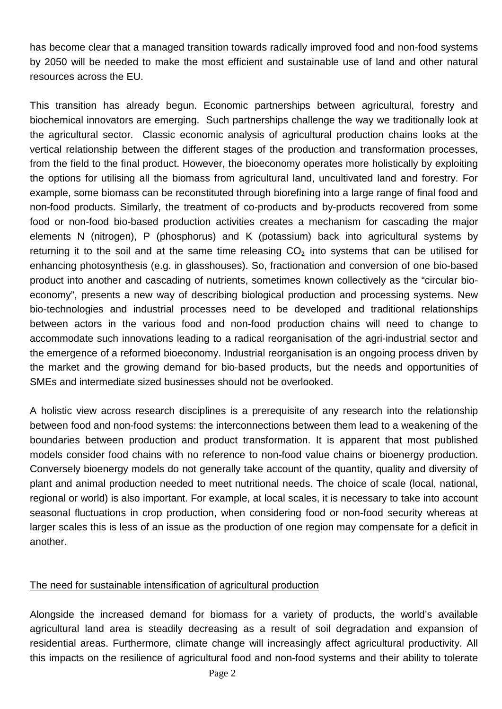has become clear that a managed transition towards radically improved food and non-food systems by 2050 will be needed to make the most efficient and sustainable use of land and other natural resources across the EU.

This transition has already begun. Economic partnerships between agricultural, forestry and biochemical innovators are emerging. Such partnerships challenge the way we traditionally look at the agricultural sector. Classic economic analysis of agricultural production chains looks at the vertical relationship between the different stages of the production and transformation processes, from the field to the final product. However, the bioeconomy operates more holistically by exploiting the options for utilising all the biomass from agricultural land, uncultivated land and forestry. For example, some biomass can be reconstituted through biorefining into a large range of final food and non-food products. Similarly, the treatment of co-products and by-products recovered from some food or non-food bio-based production activities creates a mechanism for cascading the major elements N (nitrogen), P (phosphorus) and K (potassium) back into agricultural systems by returning it to the soil and at the same time releasing  $CO<sub>2</sub>$  into systems that can be utilised for enhancing photosynthesis (e.g. in glasshouses). So, fractionation and conversion of one bio-based product into another and cascading of nutrients, sometimes known collectively as the "circular bioeconomy", presents a new way of describing biological production and processing systems. New bio-technologies and industrial processes need to be developed and traditional relationships between actors in the various food and non-food production chains will need to change to accommodate such innovations leading to a radical reorganisation of the agri-industrial sector and the emergence of a reformed bioeconomy. Industrial reorganisation is an ongoing process driven by the market and the growing demand for bio-based products, but the needs and opportunities of SMEs and intermediate sized businesses should not be overlooked.

A holistic view across research disciplines is a prerequisite of any research into the relationship between food and non-food systems: the interconnections between them lead to a weakening of the boundaries between production and product transformation. It is apparent that most published models consider food chains with no reference to non-food value chains or bioenergy production. Conversely bioenergy models do not generally take account of the quantity, quality and diversity of plant and animal production needed to meet nutritional needs. The choice of scale (local, national, regional or world) is also important. For example, at local scales, it is necessary to take into account seasonal fluctuations in crop production, when considering food or non-food security whereas at larger scales this is less of an issue as the production of one region may compensate for a deficit in another.

#### The need for sustainable intensification of agricultural production

Alongside the increased demand for biomass for a variety of products, the world's available agricultural land area is steadily decreasing as a result of soil degradation and expansion of residential areas. Furthermore, climate change will increasingly affect agricultural productivity. All this impacts on the resilience of agricultural food and non-food systems and their ability to tolerate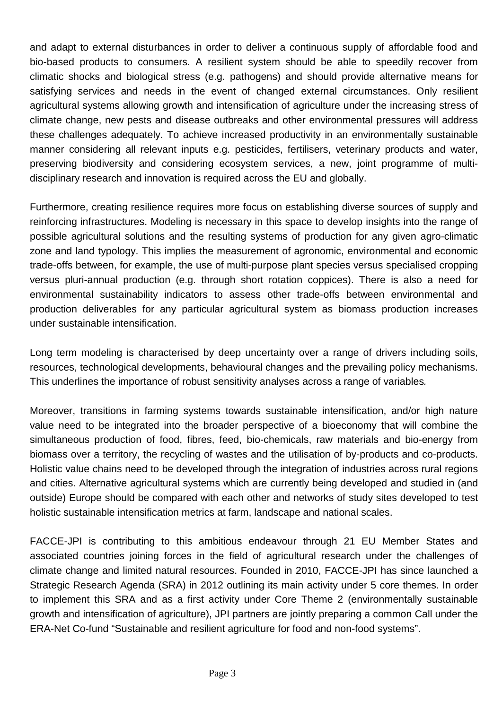and adapt to external disturbances in order to deliver a continuous supply of affordable food and bio-based products to consumers. A resilient system should be able to speedily recover from climatic shocks and biological stress (e.g. pathogens) and should provide alternative means for satisfying services and needs in the event of changed external circumstances. Only resilient agricultural systems allowing growth and intensification of agriculture under the increasing stress of climate change, new pests and disease outbreaks and other environmental pressures will address these challenges adequately. To achieve increased productivity in an environmentally sustainable manner considering all relevant inputs e.g. pesticides, fertilisers, veterinary products and water, preserving biodiversity and considering ecosystem services, a new, joint programme of multidisciplinary research and innovation is required across the EU and globally.

Furthermore, creating resilience requires more focus on establishing diverse sources of supply and reinforcing infrastructures. Modeling is necessary in this space to develop insights into the range of possible agricultural solutions and the resulting systems of production for any given agro-climatic zone and land typology. This implies the measurement of agronomic, environmental and economic trade-offs between, for example, the use of multi-purpose plant species versus specialised cropping versus pluri-annual production (e.g. through short rotation coppices). There is also a need for environmental sustainability indicators to assess other trade-offs between environmental and production deliverables for any particular agricultural system as biomass production increases under sustainable intensification.

Long term modeling is characterised by deep uncertainty over a range of drivers including soils, resources, technological developments, behavioural changes and the prevailing policy mechanisms. This underlines the importance of robust sensitivity analyses across a range of variables*.*

Moreover, transitions in farming systems towards sustainable intensification, and/or high nature value need to be integrated into the broader perspective of a bioeconomy that will combine the simultaneous production of food, fibres, feed, bio-chemicals, raw materials and bio-energy from biomass over a territory, the recycling of wastes and the utilisation of by-products and co-products. Holistic value chains need to be developed through the integration of industries across rural regions and cities. Alternative agricultural systems which are currently being developed and studied in (and outside) Europe should be compared with each other and networks of study sites developed to test holistic sustainable intensification metrics at farm, landscape and national scales.

FACCE-JPI is contributing to this ambitious endeavour through 21 EU Member States and associated countries joining forces in the field of agricultural research under the challenges of climate change and limited natural resources. Founded in 2010, FACCE-JPI has since launched a Strategic Research Agenda (SRA) in 2012 outlining its main activity under 5 core themes. In order to implement this SRA and as a first activity under Core Theme 2 (environmentally sustainable growth and intensification of agriculture), JPI partners are jointly preparing a common Call under the ERA-Net Co-fund "Sustainable and resilient agriculture for food and non-food systems".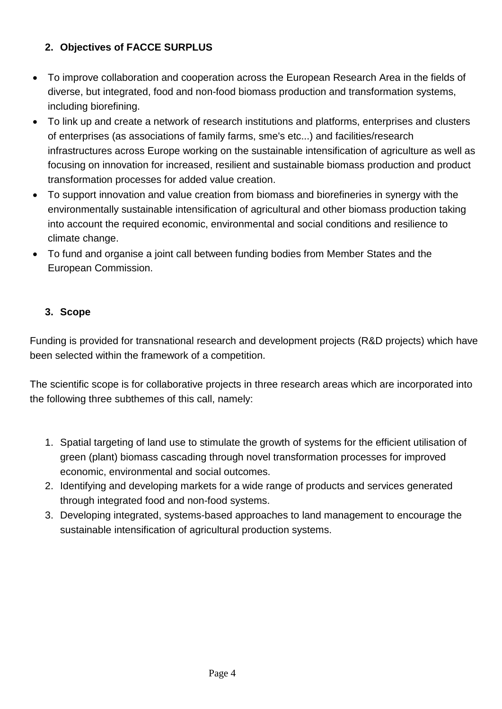## **2. Objectives of FACCE SURPLUS**

- To improve collaboration and cooperation across the European Research Area in the fields of diverse, but integrated, food and non-food biomass production and transformation systems, including biorefining.
- To link up and create a network of research institutions and platforms, enterprises and clusters of enterprises (as associations of family farms, sme's etc...) and facilities/research infrastructures across Europe working on the sustainable intensification of agriculture as well as focusing on innovation for increased, resilient and sustainable biomass production and product transformation processes for added value creation.
- To support innovation and value creation from biomass and biorefineries in synergy with the environmentally sustainable intensification of agricultural and other biomass production taking into account the required economic, environmental and social conditions and resilience to climate change.
- To fund and organise a joint call between funding bodies from Member States and the European Commission.

#### **3. Scope**

Funding is provided for transnational research and development projects (R&D projects) which have been selected within the framework of a competition.

The scientific scope is for collaborative projects in three research areas which are incorporated into the following three subthemes of this call, namely:

- 1. Spatial targeting of land use to stimulate the growth of systems for the efficient utilisation of green (plant) biomass cascading through novel transformation processes for improved economic, environmental and social outcomes.
- 2. Identifying and developing markets for a wide range of products and services generated through integrated food and non-food systems.
- 3. Developing integrated, systems-based approaches to land management to encourage the sustainable intensification of agricultural production systems.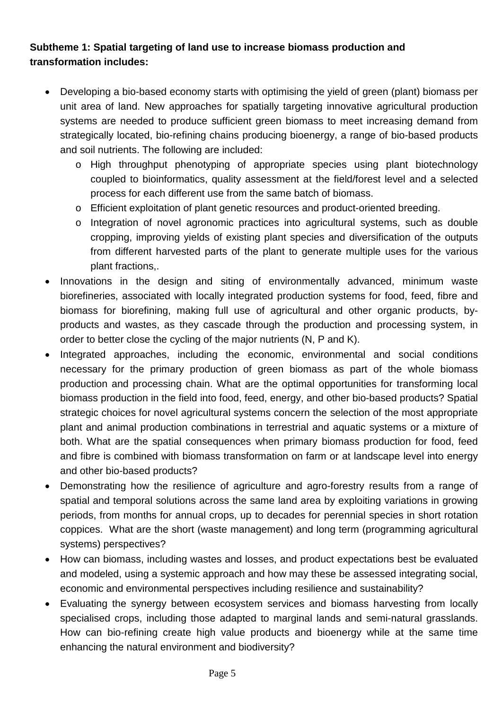## **Subtheme 1: Spatial targeting of land use to increase biomass production and transformation includes:**

- Developing a bio-based economy starts with optimising the yield of green (plant) biomass per unit area of land. New approaches for spatially targeting innovative agricultural production systems are needed to produce sufficient green biomass to meet increasing demand from strategically located, bio-refining chains producing bioenergy, a range of bio-based products and soil nutrients. The following are included:
	- o High throughput phenotyping of appropriate species using plant biotechnology coupled to bioinformatics, quality assessment at the field/forest level and a selected process for each different use from the same batch of biomass.
	- o Efficient exploitation of plant genetic resources and product-oriented breeding.
	- o Integration of novel agronomic practices into agricultural systems, such as double cropping, improving yields of existing plant species and diversification of the outputs from different harvested parts of the plant to generate multiple uses for the various plant fractions,.
- Innovations in the design and siting of environmentally advanced, minimum waste biorefineries, associated with locally integrated production systems for food, feed, fibre and biomass for biorefining, making full use of agricultural and other organic products, byproducts and wastes, as they cascade through the production and processing system, in order to better close the cycling of the major nutrients (N, P and K).
- Integrated approaches, including the economic, environmental and social conditions necessary for the primary production of green biomass as part of the whole biomass production and processing chain. What are the optimal opportunities for transforming local biomass production in the field into food, feed, energy, and other bio-based products? Spatial strategic choices for novel agricultural systems concern the selection of the most appropriate plant and animal production combinations in terrestrial and aquatic systems or a mixture of both. What are the spatial consequences when primary biomass production for food, feed and fibre is combined with biomass transformation on farm or at landscape level into energy and other bio-based products?
- Demonstrating how the resilience of agriculture and agro-forestry results from a range of spatial and temporal solutions across the same land area by exploiting variations in growing periods, from months for annual crops, up to decades for perennial species in short rotation coppices. What are the short (waste management) and long term (programming agricultural systems) perspectives?
- How can biomass, including wastes and losses, and product expectations best be evaluated and modeled, using a systemic approach and how may these be assessed integrating social, economic and environmental perspectives including resilience and sustainability?
- Evaluating the synergy between ecosystem services and biomass harvesting from locally specialised crops, including those adapted to marginal lands and semi-natural grasslands. How can bio-refining create high value products and bioenergy while at the same time enhancing the natural environment and biodiversity?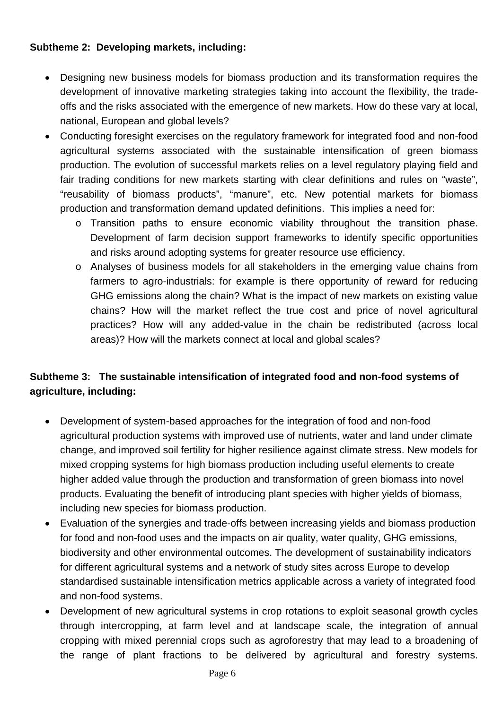#### **Subtheme 2: Developing markets, including:**

- Designing new business models for biomass production and its transformation requires the development of innovative marketing strategies taking into account the flexibility, the tradeoffs and the risks associated with the emergence of new markets. How do these vary at local, national, European and global levels?
- Conducting foresight exercises on the regulatory framework for integrated food and non-food agricultural systems associated with the sustainable intensification of green biomass production. The evolution of successful markets relies on a level regulatory playing field and fair trading conditions for new markets starting with clear definitions and rules on "waste", "reusability of biomass products", "manure", etc. New potential markets for biomass production and transformation demand updated definitions. This implies a need for:
	- o Transition paths to ensure economic viability throughout the transition phase. Development of farm decision support frameworks to identify specific opportunities and risks around adopting systems for greater resource use efficiency.
	- o Analyses of business models for all stakeholders in the emerging value chains from farmers to agro-industrials: for example is there opportunity of reward for reducing GHG emissions along the chain? What is the impact of new markets on existing value chains? How will the market reflect the true cost and price of novel agricultural practices? How will any added-value in the chain be redistributed (across local areas)? How will the markets connect at local and global scales?

## **Subtheme 3: The sustainable intensification of integrated food and non-food systems of agriculture, including:**

- Development of system-based approaches for the integration of food and non-food agricultural production systems with improved use of nutrients, water and land under climate change, and improved soil fertility for higher resilience against climate stress. New models for mixed cropping systems for high biomass production including useful elements to create higher added value through the production and transformation of green biomass into novel products. Evaluating the benefit of introducing plant species with higher yields of biomass, including new species for biomass production.
- Evaluation of the synergies and trade-offs between increasing yields and biomass production for food and non-food uses and the impacts on air quality, water quality, GHG emissions, biodiversity and other environmental outcomes. The development of sustainability indicators for different agricultural systems and a network of study sites across Europe to develop standardised sustainable intensification metrics applicable across a variety of integrated food and non-food systems.
- Development of new agricultural systems in crop rotations to exploit seasonal growth cycles through intercropping, at farm level and at landscape scale, the integration of annual cropping with mixed perennial crops such as agroforestry that may lead to a broadening of the range of plant fractions to be delivered by agricultural and forestry systems.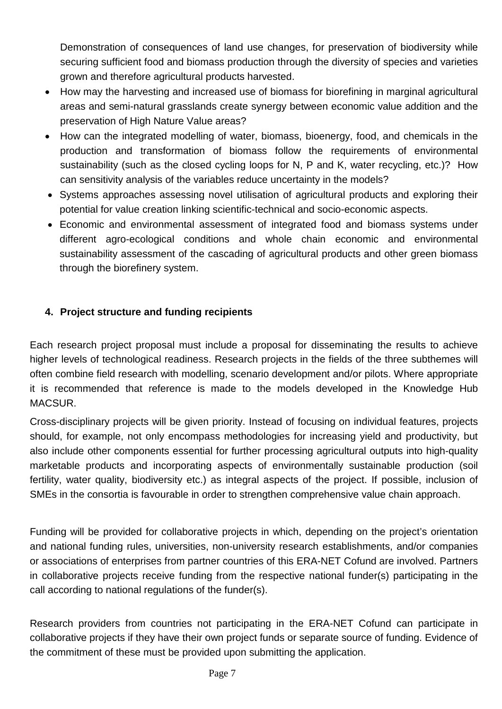Demonstration of consequences of land use changes, for preservation of biodiversity while securing sufficient food and biomass production through the diversity of species and varieties grown and therefore agricultural products harvested.

- How may the harvesting and increased use of biomass for biorefining in marginal agricultural areas and semi-natural grasslands create synergy between economic value addition and the preservation of High Nature Value areas?
- How can the integrated modelling of water, biomass, bioenergy, food, and chemicals in the production and transformation of biomass follow the requirements of environmental sustainability (such as the closed cycling loops for N, P and K, water recycling, etc.)? How can sensitivity analysis of the variables reduce uncertainty in the models?
- Systems approaches assessing novel utilisation of agricultural products and exploring their potential for value creation linking scientific-technical and socio-economic aspects.
- Economic and environmental assessment of integrated food and biomass systems under different agro-ecological conditions and whole chain economic and environmental sustainability assessment of the cascading of agricultural products and other green biomass through the biorefinery system.

#### **4. Project structure and funding recipients**

Each research project proposal must include a proposal for disseminating the results to achieve higher levels of technological readiness. Research projects in the fields of the three subthemes will often combine field research with modelling, scenario development and/or pilots. Where appropriate it is recommended that reference is made to the models developed in the Knowledge Hub MACSUR.

Cross-disciplinary projects will be given priority. Instead of focusing on individual features, projects should, for example, not only encompass methodologies for increasing yield and productivity, but also include other components essential for further processing agricultural outputs into high-quality marketable products and incorporating aspects of environmentally sustainable production (soil fertility, water quality, biodiversity etc.) as integral aspects of the project. If possible, inclusion of SMEs in the consortia is favourable in order to strengthen comprehensive value chain approach.

Funding will be provided for collaborative projects in which, depending on the project's orientation and national funding rules, universities, non-university research establishments, and/or companies or associations of enterprises from partner countries of this ERA-NET Cofund are involved. Partners in collaborative projects receive funding from the respective national funder(s) participating in the call according to national regulations of the funder(s).

Research providers from countries not participating in the ERA-NET Cofund can participate in collaborative projects if they have their own project funds or separate source of funding. Evidence of the commitment of these must be provided upon submitting the application.